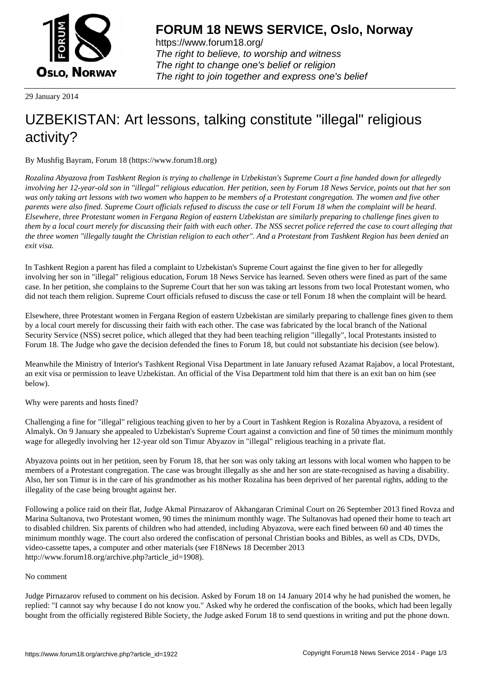

https://www.forum18.org/ The right to believe, to worship and witness The right to change one's belief or religion [The right to join together a](https://www.forum18.org/)nd express one's belief

29 January 2014

## [UZBEKISTAN:](https://www.forum18.org) Art lessons, talking constitute "illegal" religious activity?

By Mushfig Bayram, Forum 18 (https://www.forum18.org)

*Rozalina Abyazova from Tashkent Region is trying to challenge in Uzbekistan's Supreme Court a fine handed down for allegedly involving her 12-year-old son in "illegal" religious education. Her petition, seen by Forum 18 News Service, points out that her son was only taking art lessons with two women who happen to be members of a Protestant congregation. The women and five other parents were also fined. Supreme Court officials refused to discuss the case or tell Forum 18 when the complaint will be heard. Elsewhere, three Protestant women in Fergana Region of eastern Uzbekistan are similarly preparing to challenge fines given to them by a local court merely for discussing their faith with each other. The NSS secret police referred the case to court alleging that the three women "illegally taught the Christian religion to each other". And a Protestant from Tashkent Region has been denied an exit visa.*

In Tashkent Region a parent has filed a complaint to Uzbekistan's Supreme Court against the fine given to her for allegedly involving her son in "illegal" religious education, Forum 18 News Service has learned. Seven others were fined as part of the same case. In her petition, she complains to the Supreme Court that her son was taking art lessons from two local Protestant women, who did not teach them religion. Supreme Court officials refused to discuss the case or tell Forum 18 when the complaint will be heard.

Elsewhere, three Protestant women in Fergana Region of eastern Uzbekistan are similarly preparing to challenge fines given to them by a local court merely for discussing their faith with each other. The case was fabricated by the local branch of the National Security Service (NSS) secret police, which alleged that they had been teaching religion "illegally", local Protestants insisted to Forum 18. The Judge who gave the decision defended the fines to Forum 18, but could not substantiate his decision (see below).

Meanwhile the Ministry of Interior's Tashkent Regional Visa Department in late January refused Azamat Rajabov, a local Protestant, an exit visa or permission to leave Uzbekistan. An official of the Visa Department told him that there is an exit ban on him (see below).

Why were parents and hosts fined?

Challenging a fine for "illegal" religious teaching given to her by a Court in Tashkent Region is Rozalina Abyazova, a resident of Almalyk. On 9 January she appealed to Uzbekistan's Supreme Court against a conviction and fine of 50 times the minimum monthly wage for allegedly involving her 12-year old son Timur Abyazov in "illegal" religious teaching in a private flat.

Abyazova points out in her petition, seen by Forum 18, that her son was only taking art lessons with local women who happen to be members of a Protestant congregation. The case was brought illegally as she and her son are state-recognised as having a disability. Also, her son Timur is in the care of his grandmother as his mother Rozalina has been deprived of her parental rights, adding to the illegality of the case being brought against her.

Following a police raid on their flat, Judge Akmal Pirnazarov of Akhangaran Criminal Court on 26 September 2013 fined Rovza and Marina Sultanova, two Protestant women, 90 times the minimum monthly wage. The Sultanovas had opened their home to teach art to disabled children. Six parents of children who had attended, including Abyazova, were each fined between 60 and 40 times the minimum monthly wage. The court also ordered the confiscation of personal Christian books and Bibles, as well as CDs, DVDs, video-cassette tapes, a computer and other materials (see F18News 18 December 2013 http://www.forum18.org/archive.php?article\_id=1908).

## No comment

Judge Pirnazarov refused to comment on his decision. Asked by Forum 18 on 14 January 2014 why he had punished the women, he replied: "I cannot say why because I do not know you." Asked why he ordered the confiscation of the books, which had been legally bought from the officially registered Bible Society, the Judge asked Forum 18 to send questions in writing and put the phone down.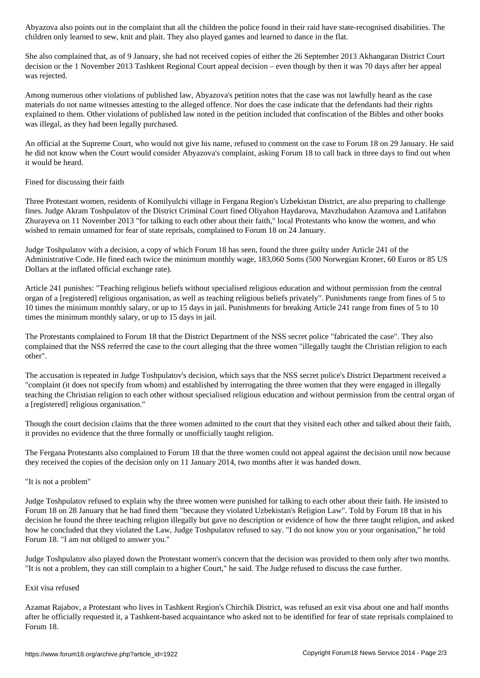children only learned to see what and played games and played games and played games and learned to dance in th

She also complained that, as of 9 January, she had not received copies of either the 26 September 2013 Akhangaran District Court decision or the 1 November 2013 Tashkent Regional Court appeal decision – even though by then it was 70 days after her appeal was rejected.

Among numerous other violations of published law, Abyazova's petition notes that the case was not lawfully heard as the case materials do not name witnesses attesting to the alleged offence. Nor does the case indicate that the defendants had their rights explained to them. Other violations of published law noted in the petition included that confiscation of the Bibles and other books was illegal, as they had been legally purchased.

An official at the Supreme Court, who would not give his name, refused to comment on the case to Forum 18 on 29 January. He said he did not know when the Court would consider Abyazova's complaint, asking Forum 18 to call back in three days to find out when it would be heard.

Fined for discussing their faith

Three Protestant women, residents of Komilyulchi village in Fergana Region's Uzbekistan District, are also preparing to challenge fines. Judge Akram Toshpulatov of the District Criminal Court fined Oliyahon Haydarova, Mavzhudahon Azamova and Latifahon Zhurayeva on 11 November 2013 "for talking to each other about their faith," local Protestants who know the women, and who wished to remain unnamed for fear of state reprisals, complained to Forum 18 on 24 January.

Judge Toshpulatov with a decision, a copy of which Forum 18 has seen, found the three guilty under Article 241 of the Administrative Code. He fined each twice the minimum monthly wage, 183,060 Soms (500 Norwegian Kroner, 60 Euros or 85 US Dollars at the inflated official exchange rate).

Article 241 punishes: "Teaching religious beliefs without specialised religious education and without permission from the central organ of a [registered] religious organisation, as well as teaching religious beliefs privately". Punishments range from fines of 5 to 10 times the minimum monthly salary, or up to 15 days in jail. Punishments for breaking Article 241 range from fines of 5 to 10 times the minimum monthly salary, or up to 15 days in jail.

The Protestants complained to Forum 18 that the District Department of the NSS secret police "fabricated the case". They also complained that the NSS referred the case to the court alleging that the three women "illegally taught the Christian religion to each other".

The accusation is repeated in Judge Toshpulatov's decision, which says that the NSS secret police's District Department received a "complaint (it does not specify from whom) and established by interrogating the three women that they were engaged in illegally teaching the Christian religion to each other without specialised religious education and without permission from the central organ of a [registered] religious organisation."

Though the court decision claims that the three women admitted to the court that they visited each other and talked about their faith, it provides no evidence that the three formally or unofficially taught religion.

The Fergana Protestants also complained to Forum 18 that the three women could not appeal against the decision until now because they received the copies of the decision only on 11 January 2014, two months after it was handed down.

## "It is not a problem"

Judge Toshpulatov refused to explain why the three women were punished for talking to each other about their faith. He insisted to Forum 18 on 28 January that he had fined them "because they violated Uzbekistan's Religion Law". Told by Forum 18 that in his decision he found the three teaching religion illegally but gave no description or evidence of how the three taught religion, and asked how he concluded that they violated the Law, Judge Toshpulatov refused to say. "I do not know you or your organisation," he told Forum 18. "I am not obliged to answer you."

Judge Toshpulatov also played down the Protestant women's concern that the decision was provided to them only after two months. "It is not a problem, they can still complain to a higher Court," he said. The Judge refused to discuss the case further.

## Exit visa refused

Azamat Rajabov, a Protestant who lives in Tashkent Region's Chirchik District, was refused an exit visa about one and half months after he officially requested it, a Tashkent-based acquaintance who asked not to be identified for fear of state reprisals complained to Forum 18.